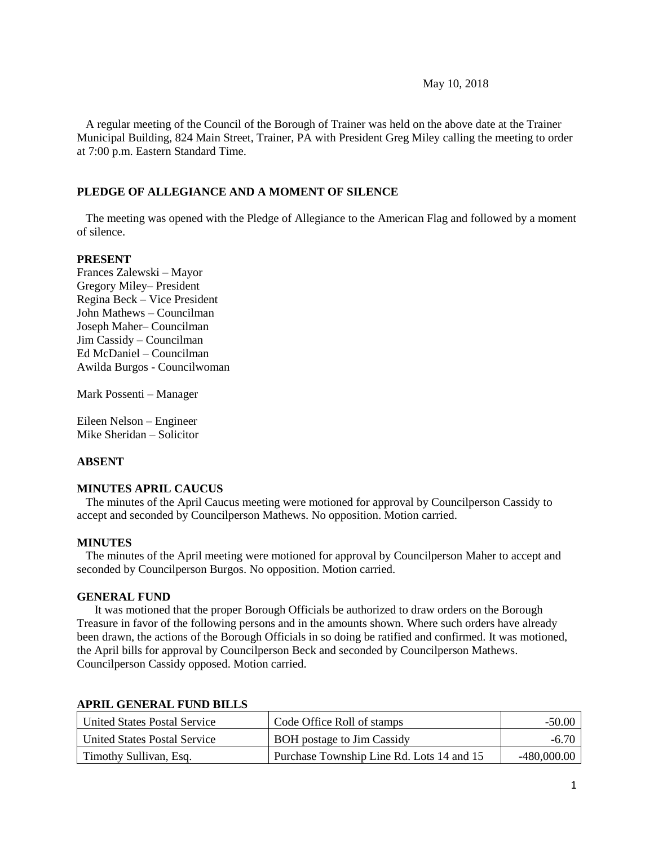### May 10, 2018

 A regular meeting of the Council of the Borough of Trainer was held on the above date at the Trainer Municipal Building, 824 Main Street, Trainer, PA with President Greg Miley calling the meeting to order at 7:00 p.m. Eastern Standard Time.

### **PLEDGE OF ALLEGIANCE AND A MOMENT OF SILENCE**

 The meeting was opened with the Pledge of Allegiance to the American Flag and followed by a moment of silence.

#### **PRESENT**

Frances Zalewski – Mayor Gregory Miley– President Regina Beck – Vice President John Mathews – Councilman Joseph Maher– Councilman Jim Cassidy – Councilman Ed McDaniel – Councilman Awilda Burgos - Councilwoman

Mark Possenti – Manager

Eileen Nelson – Engineer Mike Sheridan – Solicitor

# **ABSENT**

### **MINUTES APRIL CAUCUS**

The minutes of the April Caucus meeting were motioned for approval by Councilperson Cassidy to accept and seconded by Councilperson Mathews. No opposition. Motion carried.

### **MINUTES**

The minutes of the April meeting were motioned for approval by Councilperson Maher to accept and seconded by Councilperson Burgos. No opposition. Motion carried.

### **GENERAL FUND**

 It was motioned that the proper Borough Officials be authorized to draw orders on the Borough Treasure in favor of the following persons and in the amounts shown. Where such orders have already been drawn, the actions of the Borough Officials in so doing be ratified and confirmed. It was motioned, the April bills for approval by Councilperson Beck and seconded by Councilperson Mathews. Councilperson Cassidy opposed. Motion carried.

| <b>United States Postal Service</b> | Code Office Roll of stamps                | $-50.00$      |
|-------------------------------------|-------------------------------------------|---------------|
| <b>United States Postal Service</b> | BOH postage to Jim Cassidy                | $-6.70$       |
| Timothy Sullivan, Esq.              | Purchase Township Line Rd. Lots 14 and 15 | $-480,000.00$ |

### **APRIL GENERAL FUND BILLS**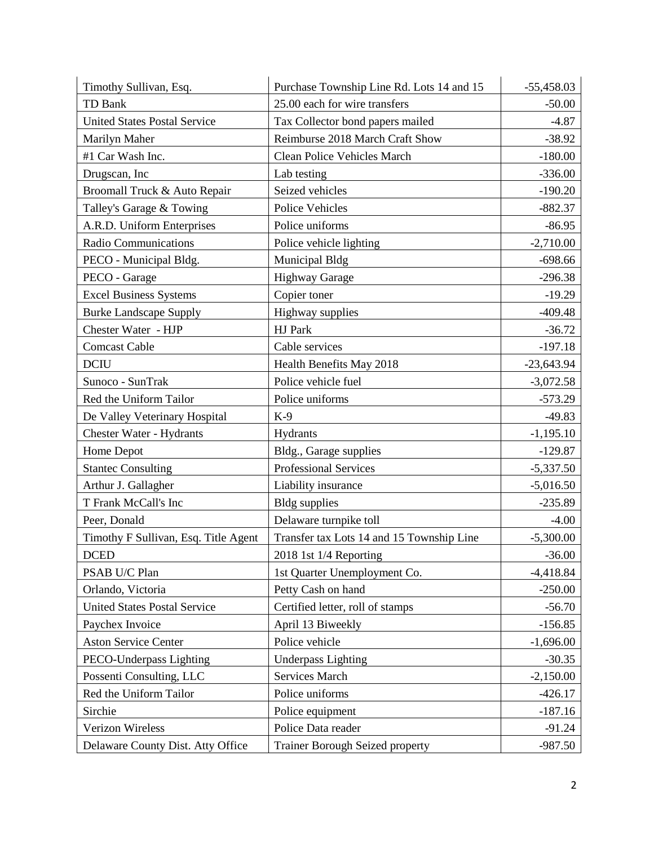| Timothy Sullivan, Esq.               | Purchase Township Line Rd. Lots 14 and 15 | $-55,458.03$ |
|--------------------------------------|-------------------------------------------|--------------|
| TD Bank                              | 25.00 each for wire transfers             | $-50.00$     |
| <b>United States Postal Service</b>  | Tax Collector bond papers mailed          | $-4.87$      |
| Marilyn Maher                        | Reimburse 2018 March Craft Show           | $-38.92$     |
| #1 Car Wash Inc.                     | Clean Police Vehicles March               | $-180.00$    |
| Drugscan, Inc                        | Lab testing                               | $-336.00$    |
| Broomall Truck & Auto Repair         | Seized vehicles                           | $-190.20$    |
| Talley's Garage & Towing             | Police Vehicles                           | $-882.37$    |
| A.R.D. Uniform Enterprises           | Police uniforms                           | $-86.95$     |
| <b>Radio Communications</b>          | Police vehicle lighting                   | $-2,710.00$  |
| PECO - Municipal Bldg.               | Municipal Bldg                            | $-698.66$    |
| PECO - Garage                        | <b>Highway Garage</b>                     | $-296.38$    |
| <b>Excel Business Systems</b>        | Copier toner                              | $-19.29$     |
| <b>Burke Landscape Supply</b>        | Highway supplies                          | $-409.48$    |
| Chester Water - HJP                  | HJ Park                                   | $-36.72$     |
| <b>Comcast Cable</b>                 | Cable services                            | $-197.18$    |
| <b>DCIU</b>                          | Health Benefits May 2018                  | $-23,643.94$ |
| Sunoco - SunTrak                     | Police vehicle fuel                       | $-3,072.58$  |
| Red the Uniform Tailor               | Police uniforms                           | $-573.29$    |
| De Valley Veterinary Hospital        | $K-9$                                     | $-49.83$     |
| Chester Water - Hydrants             | Hydrants                                  | $-1,195.10$  |
| Home Depot                           | Bldg., Garage supplies                    | $-129.87$    |
| <b>Stantec Consulting</b>            | <b>Professional Services</b>              | $-5,337.50$  |
| Arthur J. Gallagher                  | Liability insurance                       | $-5,016.50$  |
| T Frank McCall's Inc                 | <b>Bldg</b> supplies                      | $-235.89$    |
| Peer, Donald                         | Delaware turnpike toll                    | $-4.00$      |
| Timothy F Sullivan, Esq. Title Agent | Transfer tax Lots 14 and 15 Township Line | $-5,300.00$  |
| $D$ CED                              | 2018 1st 1/4 Reporting                    | $-36.00$     |
| PSAB U/C Plan                        | 1st Quarter Unemployment Co.              | $-4,418.84$  |
| Orlando, Victoria                    | Petty Cash on hand                        | $-250.00$    |
| <b>United States Postal Service</b>  | Certified letter, roll of stamps          | $-56.70$     |
| Paychex Invoice                      | April 13 Biweekly                         | $-156.85$    |
| <b>Aston Service Center</b>          | Police vehicle                            | $-1,696.00$  |
| PECO-Underpass Lighting              | <b>Underpass Lighting</b>                 | $-30.35$     |
| Possenti Consulting, LLC             | Services March                            | $-2,150.00$  |
| Red the Uniform Tailor               | Police uniforms                           | $-426.17$    |
| Sirchie                              | Police equipment                          | $-187.16$    |
| Verizon Wireless                     | Police Data reader                        | $-91.24$     |
| Delaware County Dist. Atty Office    | <b>Trainer Borough Seized property</b>    | $-987.50$    |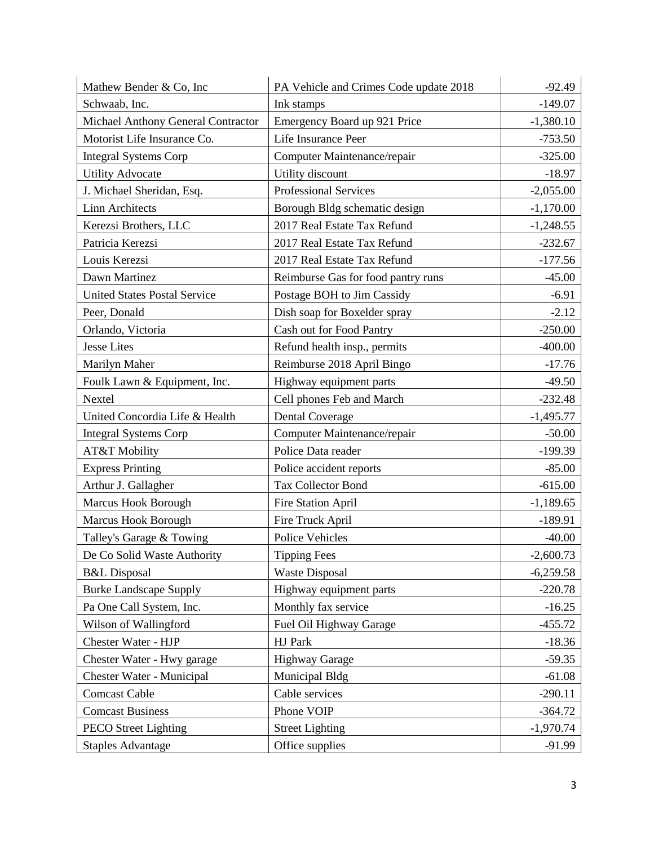| Mathew Bender & Co, Inc             | PA Vehicle and Crimes Code update 2018 | $-92.49$    |
|-------------------------------------|----------------------------------------|-------------|
| Schwaab, Inc.                       | Ink stamps                             | $-149.07$   |
| Michael Anthony General Contractor  | Emergency Board up 921 Price           | $-1,380.10$ |
| Motorist Life Insurance Co.         | Life Insurance Peer                    | $-753.50$   |
| <b>Integral Systems Corp</b>        | Computer Maintenance/repair            | $-325.00$   |
| <b>Utility Advocate</b>             | Utility discount                       | $-18.97$    |
| J. Michael Sheridan, Esq.           | <b>Professional Services</b>           | $-2,055.00$ |
| <b>Linn Architects</b>              | Borough Bldg schematic design          | $-1,170.00$ |
| Kerezsi Brothers, LLC               | 2017 Real Estate Tax Refund            | $-1,248.55$ |
| Patricia Kerezsi                    | 2017 Real Estate Tax Refund            | $-232.67$   |
| Louis Kerezsi                       | 2017 Real Estate Tax Refund            | $-177.56$   |
| Dawn Martinez                       | Reimburse Gas for food pantry runs     | $-45.00$    |
| <b>United States Postal Service</b> | Postage BOH to Jim Cassidy             | $-6.91$     |
| Peer, Donald                        | Dish soap for Boxelder spray           | $-2.12$     |
| Orlando, Victoria                   | Cash out for Food Pantry               | $-250.00$   |
| <b>Jesse Lites</b>                  | Refund health insp., permits           | $-400.00$   |
| Marilyn Maher                       | Reimburse 2018 April Bingo             | $-17.76$    |
| Foulk Lawn & Equipment, Inc.        | Highway equipment parts                | $-49.50$    |
| Nextel                              | Cell phones Feb and March              | $-232.48$   |
| United Concordia Life & Health      | <b>Dental Coverage</b>                 | $-1,495.77$ |
| <b>Integral Systems Corp</b>        | Computer Maintenance/repair            | $-50.00$    |
| AT&T Mobility                       | Police Data reader                     | $-199.39$   |
| <b>Express Printing</b>             | Police accident reports                | $-85.00$    |
| Arthur J. Gallagher                 | <b>Tax Collector Bond</b>              | $-615.00$   |
| Marcus Hook Borough                 | Fire Station April                     | $-1,189.65$ |
| Marcus Hook Borough                 | Fire Truck April                       | $-189.91$   |
| Talley's Garage & Towing            | <b>Police Vehicles</b>                 | $-40.00$    |
| De Co Solid Waste Authority         | <b>Tipping Fees</b>                    | $-2,600.73$ |
| <b>B&amp;L</b> Disposal             | <b>Waste Disposal</b>                  | $-6,259.58$ |
| <b>Burke Landscape Supply</b>       | Highway equipment parts                | $-220.78$   |
| Pa One Call System, Inc.            | Monthly fax service                    | $-16.25$    |
| Wilson of Wallingford               | Fuel Oil Highway Garage                | $-455.72$   |
| Chester Water - HJP                 | HJ Park                                | $-18.36$    |
| Chester Water - Hwy garage          | <b>Highway Garage</b>                  | $-59.35$    |
| Chester Water - Municipal           | Municipal Bldg                         | $-61.08$    |
| <b>Comcast Cable</b>                | Cable services                         | $-290.11$   |
| <b>Comcast Business</b>             | Phone VOIP                             | $-364.72$   |
| <b>PECO Street Lighting</b>         | <b>Street Lighting</b>                 | $-1,970.74$ |
| <b>Staples Advantage</b>            | Office supplies                        | $-91.99$    |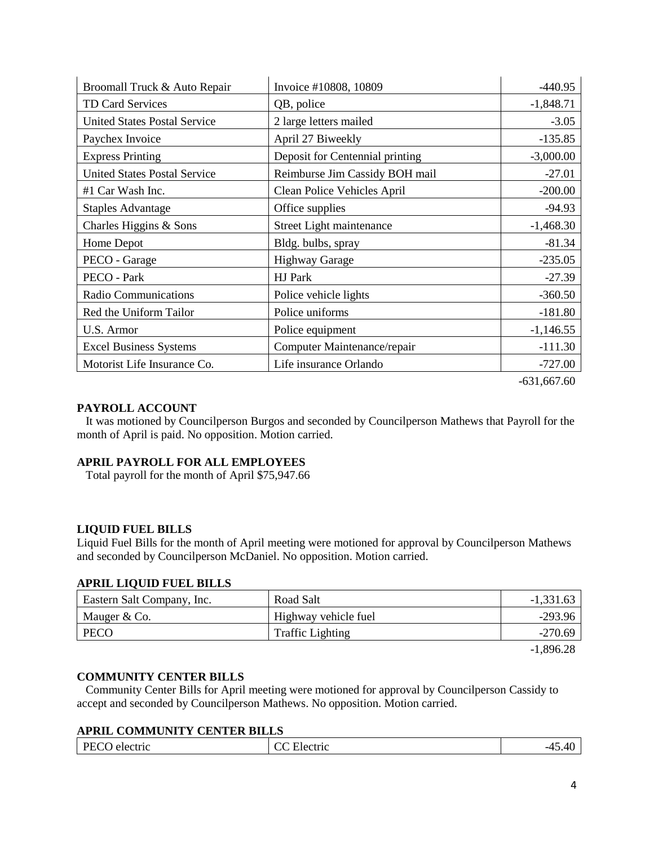| Broomall Truck & Auto Repair        | Invoice #10808, 10809           | $-440.95$   |
|-------------------------------------|---------------------------------|-------------|
| TD Card Services                    | QB, police                      | $-1,848.71$ |
| <b>United States Postal Service</b> | 2 large letters mailed          | $-3.05$     |
| Paychex Invoice                     | April 27 Biweekly               | $-135.85$   |
| <b>Express Printing</b>             | Deposit for Centennial printing | $-3,000.00$ |
| <b>United States Postal Service</b> | Reimburse Jim Cassidy BOH mail  | $-27.01$    |
| #1 Car Wash Inc.                    | Clean Police Vehicles April     | $-200.00$   |
| <b>Staples Advantage</b>            | Office supplies                 | $-94.93$    |
| Charles Higgins & Sons              | Street Light maintenance        | $-1,468.30$ |
| Home Depot                          | Bldg. bulbs, spray              | $-81.34$    |
| PECO - Garage                       | <b>Highway Garage</b>           | $-235.05$   |
| PECO - Park                         | HJ Park                         | $-27.39$    |
| Radio Communications                | Police vehicle lights           | $-360.50$   |
| Red the Uniform Tailor              | Police uniforms                 | $-181.80$   |
| U.S. Armor                          | Police equipment                | $-1,146.55$ |
| <b>Excel Business Systems</b>       | Computer Maintenance/repair     | $-111.30$   |
| Motorist Life Insurance Co.         | Life insurance Orlando          | $-727.00$   |
|                                     |                                 |             |

-631,667.60

# **PAYROLL ACCOUNT**

 It was motioned by Councilperson Burgos and seconded by Councilperson Mathews that Payroll for the month of April is paid. No opposition. Motion carried.

# **APRIL PAYROLL FOR ALL EMPLOYEES**

Total payroll for the month of April \$75,947.66

# **LIQUID FUEL BILLS**

Liquid Fuel Bills for the month of April meeting were motioned for approval by Councilperson Mathews and seconded by Councilperson McDaniel. No opposition. Motion carried.

#### **APRIL LIQUID FUEL BILLS**

| Eastern Salt Company, Inc. | Road Salt               | $-1,331.63$      |
|----------------------------|-------------------------|------------------|
| Mauger & Co.               | Highway vehicle fuel    | $-293.96$        |
| <b>PECO</b>                | <b>Traffic Lighting</b> | $-270.69$        |
|                            |                         | $1.00 \times 20$ |

-1,896.28

### **COMMUNITY CENTER BILLS**

 Community Center Bills for April meeting were motioned for approval by Councilperson Cassidy to accept and seconded by Councilperson Mathews. No opposition. Motion carried.

# **APRIL COMMUNITY CENTER BILLS**

| DI.<br>.<br>$\sqrt{2}$<br>17<br>electric<br>ectric<br>-4<br>ں<br>w<br>$\tilde{\phantom{a}}$<br><br>$\overline{\phantom{a}}$<br>.<br>.<br>$  -$<br>__ |
|------------------------------------------------------------------------------------------------------------------------------------------------------|
|------------------------------------------------------------------------------------------------------------------------------------------------------|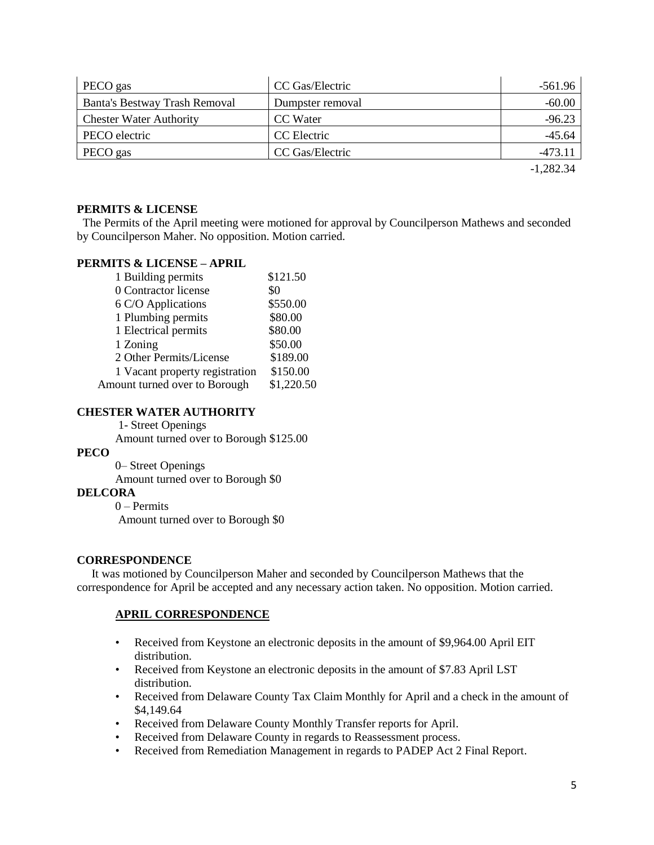| PECO gas                       | CC Gas/Electric  | -561.96     |
|--------------------------------|------------------|-------------|
| Banta's Bestway Trash Removal  | Dumpster removal | $-60.00$    |
| <b>Chester Water Authority</b> | CC Water         | $-96.23$    |
| PECO electric                  | CC Electric      | $-45.64$    |
| PECO gas                       | CC Gas/Electric  | $-473.11$   |
|                                |                  | $-1,282.34$ |

**PERMITS & LICENSE**

The Permits of the April meeting were motioned for approval by Councilperson Mathews and seconded by Councilperson Maher. No opposition. Motion carried.

# **PERMITS & LICENSE – APRIL**

| 1 Building permits             | \$121.50   |
|--------------------------------|------------|
| 0 Contractor license           | \$0        |
| 6 C/O Applications             | \$550.00   |
| 1 Plumbing permits             | \$80.00    |
| 1 Electrical permits           | \$80.00    |
| 1 Zoning                       | \$50.00    |
| 2 Other Permits/License        | \$189.00   |
| 1 Vacant property registration | \$150.00   |
| Amount turned over to Borough  | \$1,220.50 |

# **CHESTER WATER AUTHORITY**

1- Street Openings

Amount turned over to Borough \$125.00

# **PECO**

 0– Street Openings Amount turned over to Borough \$0

# **DELCORA**

0 – Permits

Amount turned over to Borough \$0

# **CORRESPONDENCE**

 It was motioned by Councilperson Maher and seconded by Councilperson Mathews that the correspondence for April be accepted and any necessary action taken. No opposition. Motion carried.

# **APRIL CORRESPONDENCE**

- Received from Keystone an electronic deposits in the amount of \$9,964.00 April EIT distribution.
- Received from Keystone an electronic deposits in the amount of \$7.83 April LST distribution.
- Received from Delaware County Tax Claim Monthly for April and a check in the amount of \$4,149.64
- Received from Delaware County Monthly Transfer reports for April.
- Received from Delaware County in regards to Reassessment process.
- Received from Remediation Management in regards to PADEP Act 2 Final Report.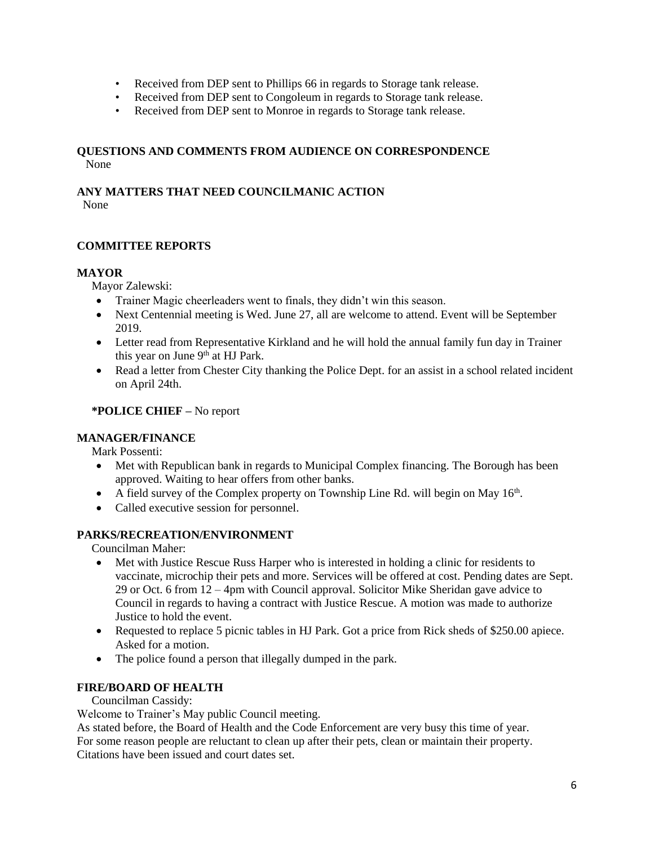- Received from DEP sent to Phillips 66 in regards to Storage tank release.
- Received from DEP sent to Congoleum in regards to Storage tank release.
- Received from DEP sent to Monroe in regards to Storage tank release.

### **QUESTIONS AND COMMENTS FROM AUDIENCE ON CORRESPONDENCE** None

# **ANY MATTERS THAT NEED COUNCILMANIC ACTION**

None

# **COMMITTEE REPORTS**

# **MAYOR**

Mayor Zalewski:

- Trainer Magic cheerleaders went to finals, they didn't win this season.
- Next Centennial meeting is Wed. June 27, all are welcome to attend. Event will be September 2019.
- Letter read from Representative Kirkland and he will hold the annual family fun day in Trainer this year on June 9<sup>th</sup> at HJ Park.
- Read a letter from Chester City thanking the Police Dept. for an assist in a school related incident on April 24th.

# **\*POLICE CHIEF –** No report

# **MANAGER/FINANCE**

Mark Possenti:

- Met with Republican bank in regards to Municipal Complex financing. The Borough has been approved. Waiting to hear offers from other banks.
- A field survey of the Complex property on Township Line Rd. will begin on May  $16<sup>th</sup>$ .
- Called executive session for personnel.

# **PARKS/RECREATION/ENVIRONMENT**

Councilman Maher:

- Met with Justice Rescue Russ Harper who is interested in holding a clinic for residents to vaccinate, microchip their pets and more. Services will be offered at cost. Pending dates are Sept. 29 or Oct. 6 from 12 – 4pm with Council approval. Solicitor Mike Sheridan gave advice to Council in regards to having a contract with Justice Rescue. A motion was made to authorize Justice to hold the event.
- Requested to replace 5 picnic tables in HJ Park. Got a price from Rick sheds of \$250.00 apiece. Asked for a motion.
- The police found a person that illegally dumped in the park.

# **FIRE/BOARD OF HEALTH**

# Councilman Cassidy:

Welcome to Trainer's May public Council meeting.

As stated before, the Board of Health and the Code Enforcement are very busy this time of year. For some reason people are reluctant to clean up after their pets, clean or maintain their property. Citations have been issued and court dates set.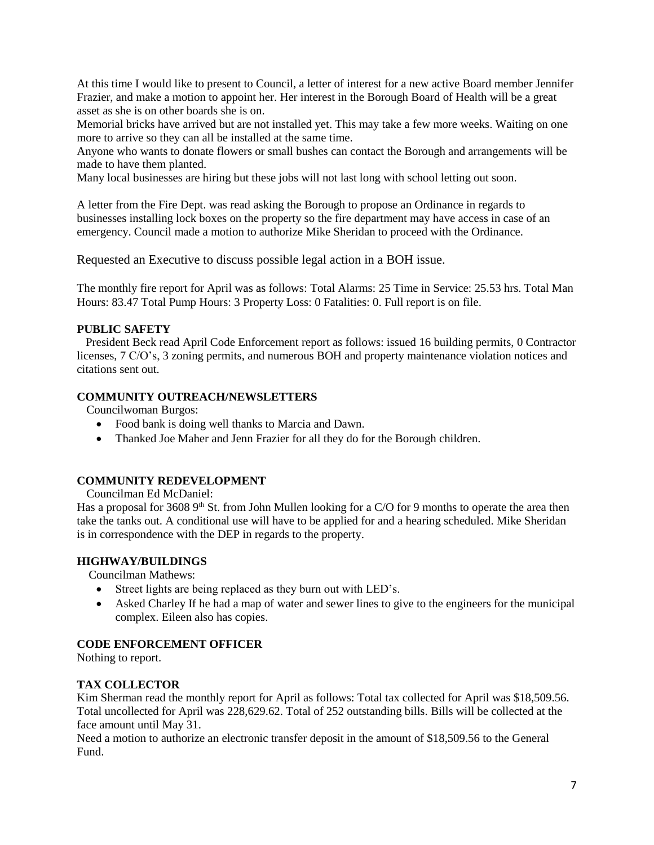At this time I would like to present to Council, a letter of interest for a new active Board member Jennifer Frazier, and make a motion to appoint her. Her interest in the Borough Board of Health will be a great asset as she is on other boards she is on.

Memorial bricks have arrived but are not installed yet. This may take a few more weeks. Waiting on one more to arrive so they can all be installed at the same time.

Anyone who wants to donate flowers or small bushes can contact the Borough and arrangements will be made to have them planted.

Many local businesses are hiring but these jobs will not last long with school letting out soon.

A letter from the Fire Dept. was read asking the Borough to propose an Ordinance in regards to businesses installing lock boxes on the property so the fire department may have access in case of an emergency. Council made a motion to authorize Mike Sheridan to proceed with the Ordinance.

Requested an Executive to discuss possible legal action in a BOH issue.

The monthly fire report for April was as follows: Total Alarms: 25 Time in Service: 25.53 hrs. Total Man Hours: 83.47 Total Pump Hours: 3 Property Loss: 0 Fatalities: 0. Full report is on file.

### **PUBLIC SAFETY**

 President Beck read April Code Enforcement report as follows: issued 16 building permits, 0 Contractor licenses, 7 C/O's, 3 zoning permits, and numerous BOH and property maintenance violation notices and citations sent out.

### **COMMUNITY OUTREACH/NEWSLETTERS**

Councilwoman Burgos:

- Food bank is doing well thanks to Marcia and Dawn.
- Thanked Joe Maher and Jenn Frazier for all they do for the Borough children.

# **COMMUNITY REDEVELOPMENT**

Councilman Ed McDaniel:

Has a proposal for 3608  $9<sup>th</sup>$  St. from John Mullen looking for a C/O for 9 months to operate the area then take the tanks out. A conditional use will have to be applied for and a hearing scheduled. Mike Sheridan is in correspondence with the DEP in regards to the property.

#### **HIGHWAY/BUILDINGS**

Councilman Mathews:

- Street lights are being replaced as they burn out with LED's.
- Asked Charley If he had a map of water and sewer lines to give to the engineers for the municipal complex. Eileen also has copies.

### **CODE ENFORCEMENT OFFICER**

Nothing to report.

#### **TAX COLLECTOR**

Kim Sherman read the monthly report for April as follows: Total tax collected for April was \$18,509.56. Total uncollected for April was 228,629.62. Total of 252 outstanding bills. Bills will be collected at the face amount until May 31.

Need a motion to authorize an electronic transfer deposit in the amount of \$18,509.56 to the General Fund.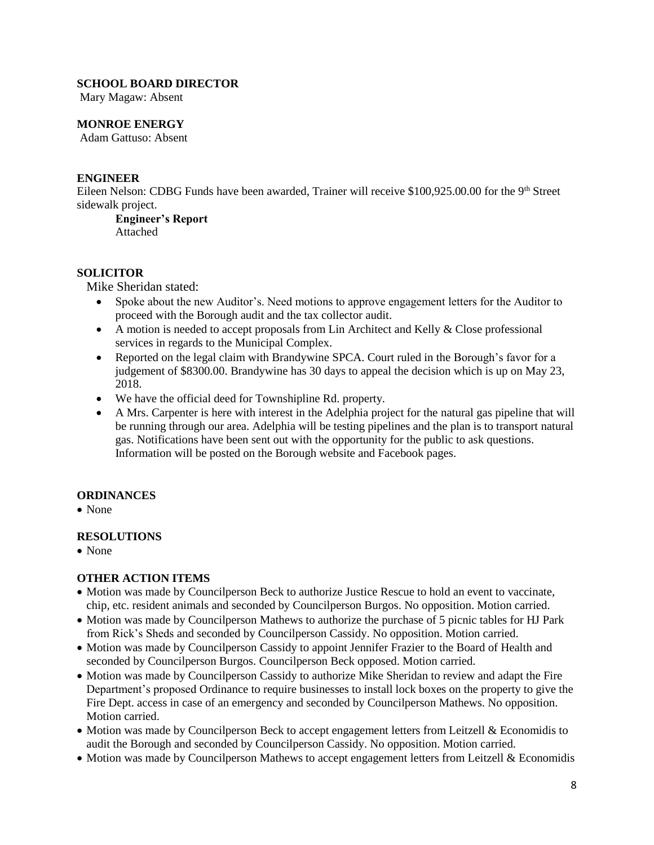# **SCHOOL BOARD DIRECTOR**

Mary Magaw: Absent

# **MONROE ENERGY**

Adam Gattuso: Absent

### **ENGINEER**

Eileen Nelson: CDBG Funds have been awarded, Trainer will receive \$100,925.00.00 for the 9<sup>th</sup> Street sidewalk project.

**Engineer's Report** Attached

#### **SOLICITOR**

Mike Sheridan stated:

- Spoke about the new Auditor's. Need motions to approve engagement letters for the Auditor to proceed with the Borough audit and the tax collector audit.
- $\bullet$  A motion is needed to accept proposals from Lin Architect and Kelly & Close professional services in regards to the Municipal Complex.
- Reported on the legal claim with Brandywine SPCA. Court ruled in the Borough's favor for a judgement of \$8300.00. Brandywine has 30 days to appeal the decision which is up on May 23, 2018.
- We have the official deed for Townshipline Rd. property.
- A Mrs. Carpenter is here with interest in the Adelphia project for the natural gas pipeline that will be running through our area. Adelphia will be testing pipelines and the plan is to transport natural gas. Notifications have been sent out with the opportunity for the public to ask questions. Information will be posted on the Borough website and Facebook pages.

#### **ORDINANCES**

• None

# **RESOLUTIONS**

• None

# **OTHER ACTION ITEMS**

- Motion was made by Councilperson Beck to authorize Justice Rescue to hold an event to vaccinate, chip, etc. resident animals and seconded by Councilperson Burgos. No opposition. Motion carried.
- Motion was made by Councilperson Mathews to authorize the purchase of 5 picnic tables for HJ Park from Rick's Sheds and seconded by Councilperson Cassidy. No opposition. Motion carried.
- Motion was made by Councilperson Cassidy to appoint Jennifer Frazier to the Board of Health and seconded by Councilperson Burgos. Councilperson Beck opposed. Motion carried.
- Motion was made by Councilperson Cassidy to authorize Mike Sheridan to review and adapt the Fire Department's proposed Ordinance to require businesses to install lock boxes on the property to give the Fire Dept. access in case of an emergency and seconded by Councilperson Mathews. No opposition. Motion carried.
- Motion was made by Councilperson Beck to accept engagement letters from Leitzell & Economidis to audit the Borough and seconded by Councilperson Cassidy. No opposition. Motion carried.
- Motion was made by Councilperson Mathews to accept engagement letters from Leitzell & Economidis